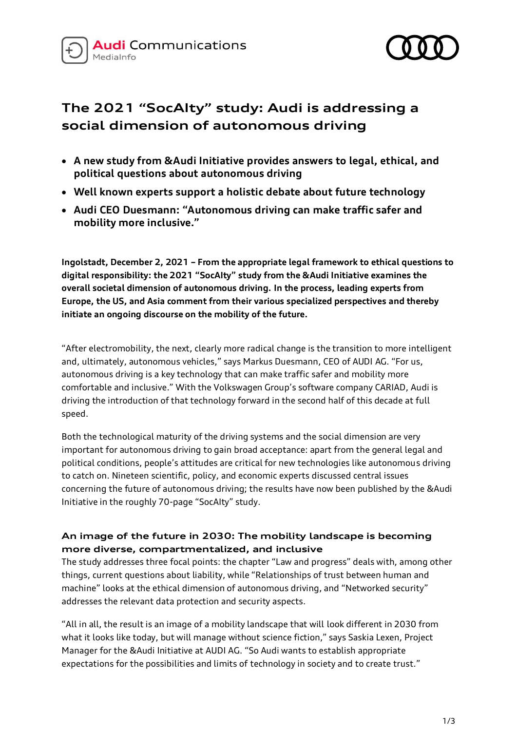



# **The 2021 "SocAIty" study: Audi is addressing a social dimension of autonomous driving**

- **A new study from &Audi Initiative provides answers to legal, ethical, and political questions about autonomous driving**
- **Well known experts support a holistic debate about future technology**
- **Audi CEO Duesmann: "Autonomous driving can make traffic safer and mobility more inclusive."**

**Ingolstadt, December 2, 2021 – From the appropriate legal framework to ethical questions to digital responsibility: the 2021 "SocAIty" study from the &Audi Initiative examines the overall societal dimension of autonomous driving. In the process, leading experts from Europe, the US, and Asia comment from their various specialized perspectives and thereby initiate an ongoing discourse on the mobility of the future.**

"After electromobility, the next, clearly more radical change is the transition to more intelligent and, ultimately, autonomous vehicles," says Markus Duesmann, CEO of AUDI AG. "For us, autonomous driving is a key technology that can make traffic safer and mobility more comfortable and inclusive." With the Volkswagen Group's software company CARIAD, Audi is driving the introduction of that technology forward in the second half of this decade at full speed.

Both the technological maturity of the driving systems and the social dimension are very important for autonomous driving to gain broad acceptance: apart from the general legal and political conditions, people's attitudes are critical for new technologies like autonomous driving to catch on. Nineteen scientific, policy, and economic experts discussed central issues concerning the future of autonomous driving; the results have now been published by the &Audi Initiative in the roughly 70-page "SocAIty" study.

## **An image of the future in 2030: The mobility landscape is becoming more diverse, compartmentalized, and inclusive**

The study addresses three focal points: the chapter "Law and progress" deals with, among other things, current questions about liability, while "Relationships of trust between human and machine" looks at the ethical dimension of autonomous driving, and "Networked security" addresses the relevant data protection and security aspects.

"All in all, the result is an image of a mobility landscape that will look different in 2030 from what it looks like today, but will manage without science fiction," says Saskia Lexen, Project Manager for the &Audi Initiative at AUDI AG. "So Audi wants to establish appropriate expectations for the possibilities and limits of technology in society and to create trust."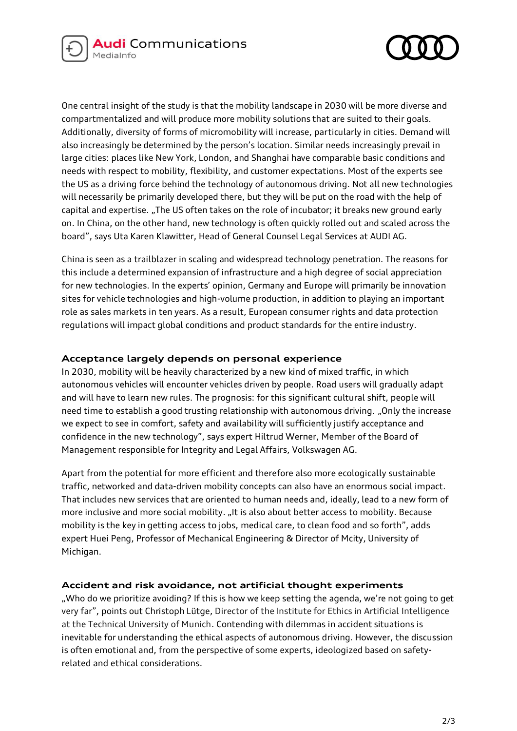



One central insight of the study is that the mobility landscape in 2030 will be more diverse and compartmentalized and will produce more mobility solutions that are suited to their goals. Additionally, diversity of forms of micromobility will increase, particularly in cities. Demand will also increasingly be determined by the person's location. Similar needs increasingly prevail in large cities: places like New York, London, and Shanghai have comparable basic conditions and needs with respect to mobility, flexibility, and customer expectations. Most of the experts see the US as a driving force behind the technology of autonomous driving. Not all new technologies will necessarily be primarily developed there, but they will be put on the road with the help of capital and expertise. "The US often takes on the role of incubator; it breaks new ground early on. In China, on the other hand, new technology is often quickly rolled out and scaled across the board", says Uta Karen Klawitter, Head of General Counsel Legal Services at AUDI AG.

China is seen as a trailblazer in scaling and widespread technology penetration. The reasons for this include a determined expansion of infrastructure and a high degree of social appreciation for new technologies. In the experts' opinion, Germany and Europe will primarily be innovation sites for vehicle technologies and high-volume production, in addition to playing an important role as sales markets in ten years. As a result, European consumer rights and data protection regulations will impact global conditions and product standards for the entire industry.

#### **Acceptance largely depends on personal experience**

In 2030, mobility will be heavily characterized by a new kind of mixed traffic, in which autonomous vehicles will encounter vehicles driven by people. Road users will gradually adapt and will have to learn new rules. The prognosis: for this significant cultural shift, people will need time to establish a good trusting relationship with autonomous driving. "Only the increase we expect to see in comfort, safety and availability will sufficiently justify acceptance and confidence in the new technology", says expert Hiltrud Werner, Member of the Board of Management responsible for Integrity and Legal Affairs, Volkswagen AG.

Apart from the potential for more efficient and therefore also more ecologically sustainable traffic, networked and data-driven mobility concepts can also have an enormous social impact. That includes new services that are oriented to human needs and, ideally, lead to a new form of more inclusive and more social mobility. "It is also about better access to mobility. Because mobility is the key in getting access to jobs, medical care, to clean food and so forth", adds expert Huei Peng, Professor of Mechanical Engineering & Director of Mcity, University of Michigan.

#### **Accident and risk avoidance, not artificial thought experiments**

"Who do we prioritize avoiding? If this is how we keep setting the agenda, we're not going to get very far", points out Christoph Lütge, Director of the Institute for Ethics in Artificial Intelligence at the Technical University of Munich. Contending with dilemmas in accident situations is inevitable for understanding the ethical aspects of autonomous driving. However, the discussion is often emotional and, from the perspective of some experts, ideologized based on safetyrelated and ethical considerations.